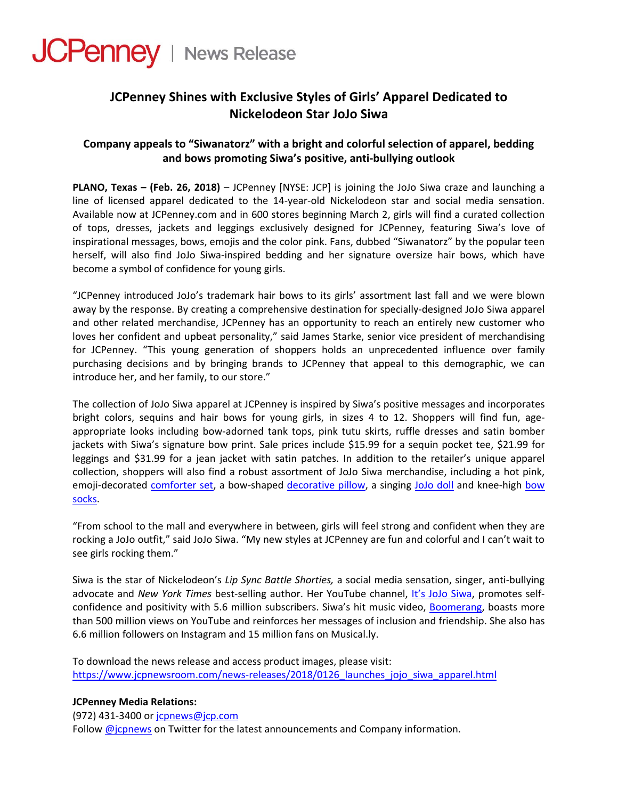

## **JCPenney Shines with Exclusive Styles of Girls' Apparel Dedicated to Nickelodeon Star JoJo Siwa**

## **Company appeals to "Siwanatorz" with a bright and colorful selection of apparel, bedding and bows promoting Siwa's positive, anti‐bullying outlook**

**PLANO, Texas – (Feb. 26, 2018)** – JCPenney [NYSE: JCP] is joining the JoJo Siwa craze and launching a line of licensed apparel dedicated to the 14‐year‐old Nickelodeon star and social media sensation. Available now at JCPenney.com and in 600 stores beginning March 2, girls will find a curated collection of tops, dresses, jackets and leggings exclusively designed for JCPenney, featuring Siwa's love of inspirational messages, bows, emojis and the color pink. Fans, dubbed "Siwanatorz" by the popular teen herself, will also find JoJo Siwa-inspired bedding and her signature oversize hair bows, which have become a symbol of confidence for young girls.

"JCPenney introduced JoJo's trademark hair bows to its girls' assortment last fall and we were blown away by the response. By creating a comprehensive destination for specially‐designed JoJo Siwa apparel and other related merchandise, JCPenney has an opportunity to reach an entirely new customer who loves her confident and upbeat personality," said James Starke, senior vice president of merchandising for JCPenney. "This young generation of shoppers holds an unprecedented influence over family purchasing decisions and by bringing brands to JCPenney that appeal to this demographic, we can introduce her, and her family, to our store."

The collection of JoJo Siwa apparel at JCPenney is inspired by Siwa's positive messages and incorporates bright colors, sequins and hair bows for young girls, in sizes 4 to 12. Shoppers will find fun, ageappropriate looks including bow‐adorned tank tops, pink tutu skirts, ruffle dresses and satin bomber jackets with Siwa's signature bow print. Sale prices include \$15.99 for a sequin pocket tee, \$21.99 for leggings and \$31.99 for a jean jacket with satin patches. In addition to the retailer's unique apparel collection, shoppers will also find a robust assortment of JoJo Siwa merchandise, including a hot pink, emoji‐decorated [comforter](https://www.jcpenney.com/p/nickelodeon-jojo-siwa-twin-full-comforter/ppr5007283478?pTmplType=regular&catId=SearchResults&searchTerm=jojo+siwa&badge=collection) set, a bow‐shaped [decorative](https://www.jcpenney.com/p/nickelodeon-jojo-siwa-bow-buddy-pillow/ppr5007283481?pTmplType=regular&catId=SearchResults&searchTerm=jojo+siwa&badge=fewleft) pillow, a singing [JoJo](https://www.jcpenney.com/p/jojo-siwa-singing-doll/ppr5007328907?pTmplType=regular&catId=SearchResults&searchTerm=jojo+siwa) doll and knee‐high [bow](https://www.jcpenney.com/p/jojo-siwa-2-pair-knee-high-socks/ppr5007277064?pTmplType=regular&rrec=true&rrplacementtype=search1_rr) [socks](https://www.jcpenney.com/p/jojo-siwa-2-pair-knee-high-socks/ppr5007277064?pTmplType=regular&rrec=true&rrplacementtype=search1_rr).

"From school to the mall and everywhere in between, girls will feel strong and confident when they are rocking a JoJo outfit," said JoJo Siwa. "My new styles at JCPenney are fun and colorful and I can't wait to see girls rocking them."

Siwa is the star of Nickelodeon's *Lip Sync Battle Shorties,* a social media sensation, singer, anti‐bullying advocate and *New York Times* best‐selling author. Her YouTube channel, It's JoJo [Siwa,](https://www.youtube.com/channel/UCeV2O_6QmFaaKBZHY3bJgsA) promotes self‐ confidence and positivity with 5.6 million subscribers. Siwa's hit music video, [Boomerang,](https://www.youtube.com/watch?v=ypPSrRYOAj4) boasts more than 500 million views on YouTube and reinforces her messages of inclusion and friendship. She also has 6.6 million followers on Instagram and 15 million fans on Musical.ly.

To download the news release and access product images, please visit: https://www.jcpnewsroom.com/news-releases/2018/0126 launches jojo siwa apparel.html

## **JCPenney Media Relations:**

(972) 431‐3400 or [jcpnews@jcp.com](mailto:jcpnews@jcp.com)

Follow [@jcpnews](http://www.twitter.com/jcpnews) on Twitter for the latest announcements and Company information.